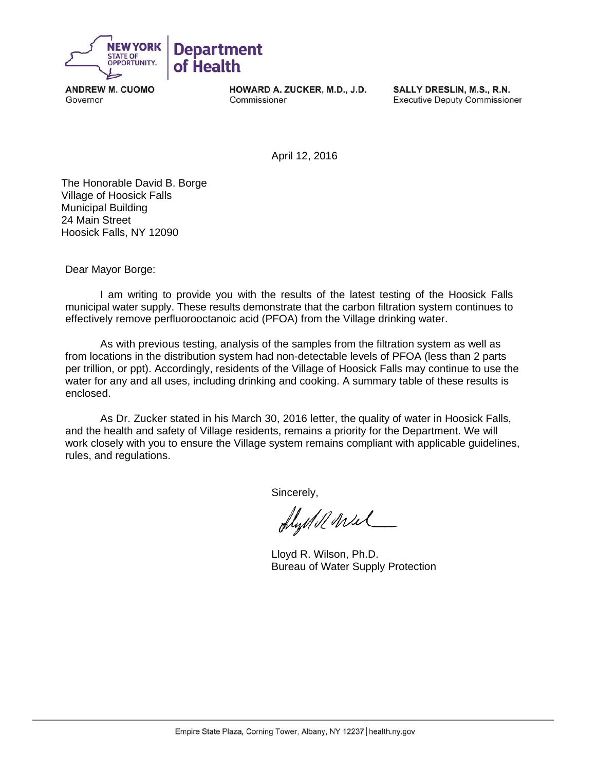

**ANDREW M. CUOMO** Governor

HOWARD A. ZUCKER, M.D., J.D. Commissioner

SALLY DRESLIN, M.S., R.N. **Executive Deputy Commissioner** 

April 12, 2016

 The Honorable David B. Borge Village of Hoosick Falls Municipal Building 24 Main Street Hoosick Falls, NY 12090

Dear Mayor Borge:

I am writing to provide you with the results of the latest testing of the Hoosick Falls municipal water supply. These results demonstrate that the carbon filtration system continues to effectively remove perfluorooctanoic acid (PFOA) from the Village drinking water.

As with previous testing, analysis of the samples from the filtration system as well as from locations in the distribution system had non-detectable levels of PFOA (less than 2 parts per trillion, or ppt). Accordingly, residents of the Village of Hoosick Falls may continue to use the water for any and all uses, including drinking and cooking. A summary table of these results is enclosed.

As Dr. Zucker stated in his March 30, 2016 letter, the quality of water in Hoosick Falls, and the health and safety of Village residents, remains a priority for the Department. We will work closely with you to ensure the Village system remains compliant with applicable guidelines, rules, and regulations.

Sincerely,

flydd wul

 Lloyd R. Wilson, Ph.D. Bureau of Water Supply Protection